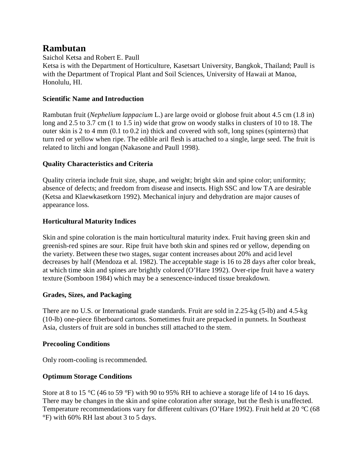# **Rambutan**

Saichol Ketsa and Robert E. Paull

Ketsa is with the Department of Horticulture, Kasetsart University, Bangkok, Thailand; Paull is with the Department of Tropical Plant and Soil Sciences, University of Hawaii at Manoa, Honolulu, HI.

# **Scientific Name and Introduction**

Rambutan fruit (*Nephelium lappacium* L.) are large ovoid or globose fruit about 4.5 cm (1.8 in) long and 2.5 to 3.7 cm (1 to 1.5 in) wide that grow on woody stalks in clusters of 10 to 18. The outer skin is 2 to 4 mm (0.1 to 0.2 in) thick and covered with soft, long spines (spinterns) that turn red or yellow when ripe. The edible aril flesh is attached to a single, large seed. The fruit is related to litchi and longan (Nakasone and Paull 1998).

# **Quality Characteristics and Criteria**

Quality criteria include fruit size, shape, and weight; bright skin and spine color; uniformity; absence of defects; and freedom from disease and insects. High SSC and low TA are desirable (Ketsa and Klaewkasetkorn 1992). Mechanical injury and dehydration are major causes of appearance loss.

# **Horticultural Maturity Indices**

Skin and spine coloration is the main horticultural maturity index. Fruit having green skin and greenish-red spines are sour. Ripe fruit have both skin and spines red or yellow, depending on the variety. Between these two stages, sugar content increases about 20% and acid level decreases by half (Mendoza et al. 1982). The acceptable stage is 16 to 28 days after color break, at which time skin and spines are brightly colored (O'Hare 1992). Over-ripe fruit have a watery texture (Somboon 1984) which may be a senescence-induced tissue breakdown.

### **Grades, Sizes, and Packaging**

There are no U.S. or International grade standards. Fruit are sold in 2.25-kg (5-lb) and 4.5-kg (10-lb) one-piece fiberboard cartons. Sometimes fruit are prepacked in punnets. In Southeast Asia, clusters of fruit are sold in bunches still attached to the stem.

### **Precooling Conditions**

Only room-cooling is recommended.

# **Optimum Storage Conditions**

Store at 8 to 15 °C (46 to 59 °F) with 90 to 95% RH to achieve a storage life of 14 to 16 days. There may be changes in the skin and spine coloration after storage, but the flesh is unaffected. Temperature recommendations vary for different cultivars (O'Hare 1992). Fruit held at 20 °C (68 °F) with 60% RH last about 3 to 5 days.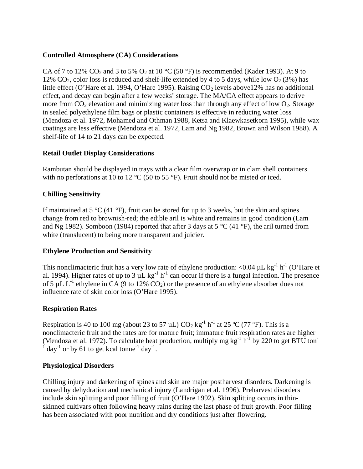### **Controlled Atmosphere (CA) Considerations**

CA of 7 to 12% CO<sub>2</sub> and 3 to 5% O<sub>2</sub> at 10 °C (50 °F) is recommended (Kader 1993). At 9 to 12% CO<sub>2</sub>, color loss is reduced and shelf-life extended by 4 to 5 days, while low  $O_2(3\%)$  has little effect (O'Hare et al. 1994, O'Hare 1995). Raising  $CO<sub>2</sub>$  levels above 12% has no additional effect, and decay can begin after a few weeks' storage. The MA/CA effect appears to derive more from  $CO_2$  elevation and minimizing water loss than through any effect of low  $O_2$ . Storage in sealed polyethylene film bags or plastic containers is effective in reducing water loss (Mendoza et al. 1972, Mohamed and Othman 1988, Ketsa and Klaewkasetkorn 1995), while wax coatings are less effective (Mendoza et al. 1972, Lam and Ng 1982, Brown and Wilson 1988). A shelf-life of 14 to 21 days can be expected.

### **Retail Outlet Display Considerations**

Rambutan should be displayed in trays with a clear film overwrap or in clam shell containers with no perforations at 10 to 12 °C (50 to 55 °F). Fruit should not be misted or iced.

# **Chilling Sensitivity**

If maintained at 5  $\degree$ C (41  $\degree$ F), fruit can be stored for up to 3 weeks, but the skin and spines change from red to brownish-red; the edible aril is white and remains in good condition (Lam and Ng 1982). Somboon (1984) reported that after 3 days at 5  $\degree$ C (41  $\degree$ F), the aril turned from white (translucent) to being more transparent and juicier.

### **Ethylene Production and Sensitivity**

This nonclimacteric fruit has a very low rate of ethylene production: <0.04  $\mu$ L kg<sup>-1</sup> h<sup>-1</sup> (O'Hare et al. 1994). Higher rates of up to 3  $\mu$ L kg<sup>-1</sup> h<sup>-1</sup> can occur if there is a fungal infection. The presence of 5  $\mu$ L L<sup>-1</sup> ethylene in CA (9 to 12% CO<sub>2</sub>) or the presence of an ethylene absorber does not influence rate of skin color loss (O'Hare 1995).

### **Respiration Rates**

Respiration is 40 to 100 mg (about 23 to 57  $\mu$ L) CO<sub>2</sub> kg<sup>-1</sup> h<sup>-1</sup> at 25 °C (77 °F). This is a nonclimacteric fruit and the rates are for mature fruit; immature fruit respiration rates are higher (Mendoza et al. 1972). To calculate heat production, multiply mg  $kg^{-1} h^{-1}$  by 220 to get BTU ton- $1$  day<sup>-1</sup> or by 61 to get kcal tonne<sup>-1</sup> day<sup>-1</sup>.

#### **Physiological Disorders**

Chilling injury and darkening of spines and skin are major postharvest disorders. Darkening is caused by dehydration and mechanical injury (Landrigan et al. 1996). Preharvest disorders include skin splitting and poor filling of fruit (O'Hare 1992). Skin splitting occurs in thinskinned cultivars often following heavy rains during the last phase of fruit growth. Poor filling has been associated with poor nutrition and dry conditions just after flowering.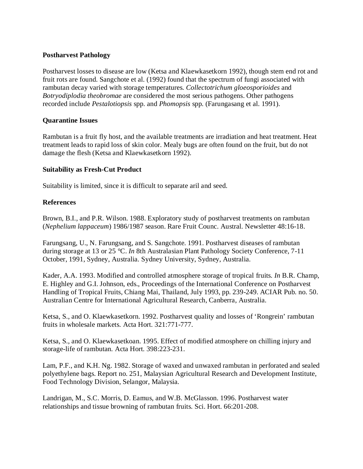### **Postharvest Pathology**

Postharvest losses to disease are low (Ketsa and Klaewkasetkorn 1992), though stem end rot and fruit rots are found. Sangchote et al. (1992) found that the spectrum of fungi associated with rambutan decay varied with storage temperatures. *Collectotrichum gloeosporioides* and *Botryodiplodia theobromae* are considered the most serious pathogens. Other pathogens recorded include *Pestalotiopsis* spp. and *Phomopsis* spp. (Farungasang et al. 1991).

#### **Quarantine Issues**

Rambutan is a fruit fly host, and the available treatments are irradiation and heat treatment. Heat treatment leads to rapid loss of skin color. Mealy bugs are often found on the fruit, but do not damage the flesh (Ketsa and Klaewkasetkorn 1992).

### **Suitability as Fresh-Cut Product**

Suitability is limited, since it is difficult to separate aril and seed.

#### **References**

Brown, B.I., and P.R. Wilson. 1988. Exploratory study of postharvest treatments on rambutan (*Nephelium lappaceum*) 1986/1987 season. Rare Fruit Counc. Austral. Newsletter 48:16-18.

Farungsang, U., N. Farungsang, and S. Sangchote. 1991. Postharvest diseases of rambutan during storage at 13 or 25 °C. *In* 8th Australasian Plant Pathology Society Conference, 7-11 October, 1991, Sydney, Australia. Sydney University, Sydney, Australia.

Kader, A.A. 1993. Modified and controlled atmosphere storage of tropical fruits. *In* B.R. Champ, E. Highley and G.I. Johnson, eds., Proceedings of the International Conference on Postharvest Handling of Tropical Fruits, Chiang Mai, Thailand, July 1993, pp. 239-249. ACIAR Pub. no. 50. Australian Centre for International Agricultural Research, Canberra, Australia.

Ketsa, S., and O. Klaewkasetkorn. 1992. Postharvest quality and losses of 'Rongrein' rambutan fruits in wholesale markets. Acta Hort. 321:771-777.

Ketsa, S., and O. Klaewkasetkoan. 1995. Effect of modified atmosphere on chilling injury and storage-life of rambutan. Acta Hort. 398:223-231.

Lam, P.F., and K.H. Ng. 1982. Storage of waxed and unwaxed rambutan in perforated and sealed polyethylene bags. Report no. 251, Malaysian Agricultural Research and Development Institute, Food Technology Division, Selangor, Malaysia.

Landrigan, M., S.C. Morris, D. Eamus, and W.B. McGlasson. 1996. Postharvest water relationships and tissue browning of rambutan fruits. Sci. Hort. 66:201-208.